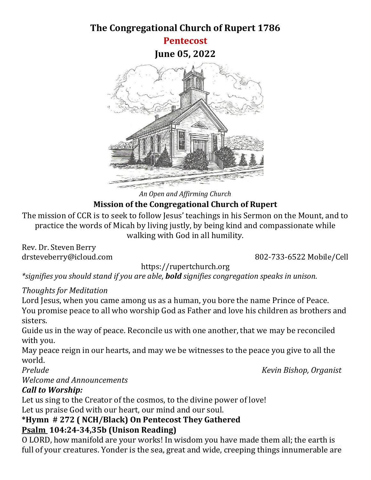# **The Congregational Church of Rupert 1786**

**Pentecost June 05, 2022**



*An Open and Affirming Church* **Mission of the Congregational Church of Rupert**

The mission of CCR is to seek to follow Jesus' teachings in his Sermon on the Mount, and to practice the words of Micah by living justly, by being kind and compassionate while walking with God in all humility.

Rev. Dr. Steven Berry

https://rupertchurch.org

*\*signifies you should stand if you are able, bold signifies congregation speaks in unison.* 

## *Thoughts for Meditation*

Lord Jesus, when you came among us as a human, you bore the name Prince of Peace. You promise peace to all who worship God as Father and love his children as brothers and sisters.

Guide us in the way of peace. Reconcile us with one another, that we may be reconciled with you.

May peace reign in our hearts, and may we be witnesses to the peace you give to all the world.

*Welcome and Announcements*

## *Call to Worship:*

Let us sing to the Creator of the cosmos, to the divine power of love! Let us praise God with our heart, our mind and our soul.

#### **\*Hymn # 272 ( NCH/Black) On Pentecost They Gathered Psalm 104:24-34,35b (Unison Reading)**

O LORD, how manifold are your works! In wisdom you have made them all; the earth is full of your creatures. Yonder is the sea, great and wide, creeping things innumerable are

drsteveberry@icloud.com 802-733-6522 Mobile/Cell

*Prelude Kevin Bishop, Organist*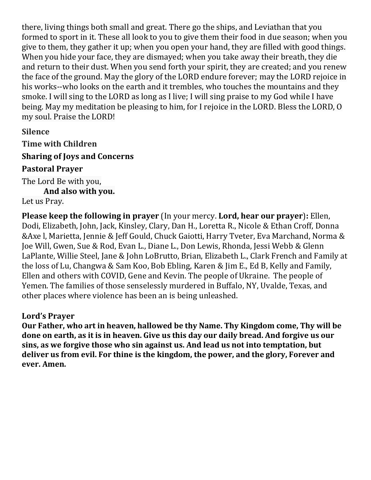there, living things both small and great. There go the ships, and Leviathan that you formed to sport in it. These all look to you to give them their food in due season; when you give to them, they gather it up; when you open your hand, they are filled with good things. When you hide your face, they are dismayed; when you take away their breath, they die and return to their dust. When you send forth your spirit, they are created; and you renew the face of the ground. May the glory of the LORD endure forever; may the LORD rejoice in his works--who looks on the earth and it trembles, who touches the mountains and they smoke. I will sing to the LORD as long as I live; I will sing praise to my God while I have being. May my meditation be pleasing to him, for I rejoice in the LORD. Bless the LORD, O my soul. Praise the LORD!

#### **Silence**

**Time with Children Sharing of Joys and Concerns Pastoral Prayer** The Lord Be with you, **And also with you.** Let us Pray.

**Please keep the following in prayer** (In your mercy. **Lord, hear our prayer**)**:** Ellen, Dodi, Elizabeth, John, Jack, Kinsley, Clary, Dan H., Loretta R., Nicole & Ethan Croff, Donna &Axe l, Marietta, Jennie & Jeff Gould, Chuck Gaiotti, Harry Tveter, Eva Marchand, Norma & Joe Will, Gwen, Sue & Rod, Evan L., Diane L., Don Lewis, Rhonda, Jessi Webb & Glenn LaPlante, Willie Steel, Jane & John LoBrutto, Brian, Elizabeth L., Clark French and Family at the loss of Lu, Changwa & Sam Koo, Bob Ebling, Karen & Jim E., Ed B, Kelly and Family, Ellen and others with COVID, Gene and Kevin. The people of Ukraine. The people of Yemen. The families of those senselessly murdered in Buffalo, NY, Uvalde, Texas, and other places where violence has been an is being unleashed.

#### **Lord's Prayer**

**Our Father, who art in heaven, hallowed be thy Name. Thy Kingdom come, Thy will be done on earth, as it is in heaven. Give us this day our daily bread. And forgive us our sins, as we forgive those who sin against us. And lead us not into temptation, but deliver us from evil. For thine is the kingdom, the power, and the glory, Forever and ever. Amen.**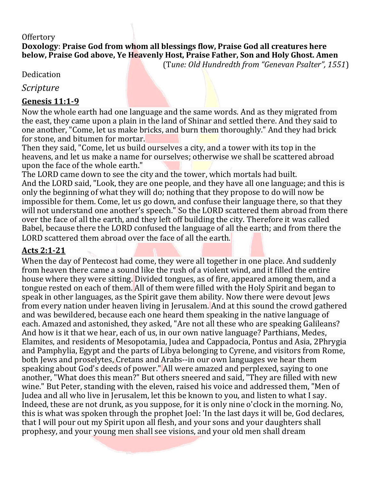#### **Offertory**

**Doxology**: **Praise God from whom all blessings flow, Praise God all creatures here below, Praise God above, Ye Heavenly Host, Praise Father, Son and Holy Ghost. Amen**

(T*une: Old Hundredth from "Genevan Psalter", 1551*)

**Dedication** 

*Scripture* 

### **Genesis 11:1-9**

Now the whole earth had one language and the same words. And as they migrated from the east, they came upon a plain in the land of Shinar and settled there. And they said to one another, "Come, let us make bricks, and burn them thoroughly." And they had brick for stone, and bitumen for mortar.

Then they said, "Come, let us build ourselves a city, and a tower with its top in the heavens, and let us make a name for ourselves; otherwise we shall be scattered abroad upon the face of the whole earth."

The LORD came down to see the city and the tower, which mortals had built. And the LORD said, "Look, they are one people, and they have all one language; and this is only the beginning of what they will do; nothing that they propose to do will now be impossible for them. Come, let us go down, and confuse their language there, so that they will not understand one another's speech." So the LORD scattered them abroad from there over the face of all the earth, and they left off building the city. Therefore it was called Babel, because there the LORD confused the language of all the earth; and from there the LORD scattered them abroad over the face of all the earth.

## **Acts 2:1-21**

When the day of Pentecost had come, they were all together in one place. And suddenly from heaven there came a sound like the rush of a violent wind, and it filled the entire house where they were sitting. Divided tongues, as of fire, appeared among them, and a tongue rested on each of them. All of them were filled with the Holy Spirit and began to speak in other languages, as the Spirit gave them ability. Now there were devout Jews from every nation under heaven living in Jerusalem. And at this sound the crowd gathered and was bewildered, because each one heard them speaking in the native language of each. Amazed and astonished, they asked, "Are not all these who are speaking Galileans? And how is it that we hear, each of us, in our own native language? Parthians, Medes, Elamites, and residents of Mesopotamia, Judea and Cappadocia, Pontus and Asia, 2Phrygia and Pamphylia, Egypt and the parts of Libya belonging to Cyrene, and visitors from Rome, both Jews and proselytes, Cretans and Arabs--in our own languages we hear them speaking about God's deeds of power." All were amazed and perplexed, saying to one another, "What does this mean?" But others sneered and said, "They are filled with new wine." But Peter, standing with the eleven, raised his voice and addressed them, "Men of Judea and all who live in Jerusalem, let this be known to you, and listen to what I say. Indeed, these are not drunk, as you suppose, for it is only nine o'clock in the morning. No, this is what was spoken through the prophet Joel: 'In the last days it will be, God declares, that I will pour out my Spirit upon all flesh, and your sons and your daughters shall prophesy, and your young men shall see visions, and your old men shall dream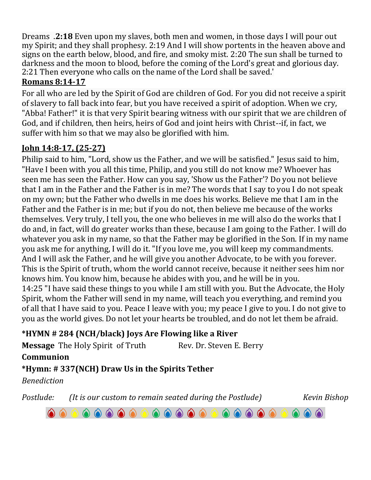Dreams .**2:18** Even upon my slaves, both men and women, in those days I will pour out my Spirit; and they shall prophesy. 2:19 And I will show portents in the heaven above and signs on the earth below, blood, and fire, and smoky mist. 2:20 The sun shall be turned to darkness and the moon to blood, before the coming of the Lord's great and glorious day. 2:21 Then everyone who calls on the name of the Lord shall be saved.'

## **Romans 8:14-17**

For all who are led by the Spirit of God are children of God. For you did not receive a spirit of slavery to fall back into fear, but you have received a spirit of adoption. When we cry, "Abba! Father!" it is that very Spirit bearing witness with our spirit that we are children of God, and if children, then heirs, heirs of God and joint heirs with Christ--if, in fact, we suffer with him so that we may also be glorified with him.

# **John 14:8-17, (25-27)**

Philip said to him, "Lord, show us the Father, and we will be satisfied." Jesus said to him, "Have I been with you all this time, Philip, and you still do not know me? Whoever has seen me has seen the Father. How can you say, 'Show us the Father'? Do you not believe that I am in the Father and the Father is in me? The words that I say to you I do not speak on my own; but the Father who dwells in me does his works. Believe me that I am in the Father and the Father is in me; but if you do not, then believe me because of the works themselves. Very truly, I tell you, the one who believes in me will also do the works that I do and, in fact, will do greater works than these, because I am going to the Father. I will do whatever you ask in my name, so that the Father may be glorified in the Son. If in my name you ask me for anything, I will do it. "If you love me, you will keep my commandments. And I will ask the Father, and he will give you another Advocate, to be with you forever. This is the Spirit of truth, whom the world cannot receive, because it neither sees him nor knows him. You know him, because he abides with you, and he will be in you. 14:25 "I have said these things to you while I am still with you. But the Advocate, the Holy Spirit, whom the Father will send in my name, will teach you everything, and remind you of all that I have said to you. Peace I leave with you; my peace I give to you. I do not give to you as the world gives. Do not let your hearts be troubled, and do not let them be afraid.

**\*HYMN # 284 (NCH/black) Joys Are Flowing like a River**

**Message** The Holy Spirit of Truth Rev. Dr. Steven E. Berry **Communion \*Hymn: # 337(NCH) Draw Us in the Spirits Tether** *Benediction* 

*Postlude:* (It is our custom to remain seated during the Postlude) Kevin Bishop